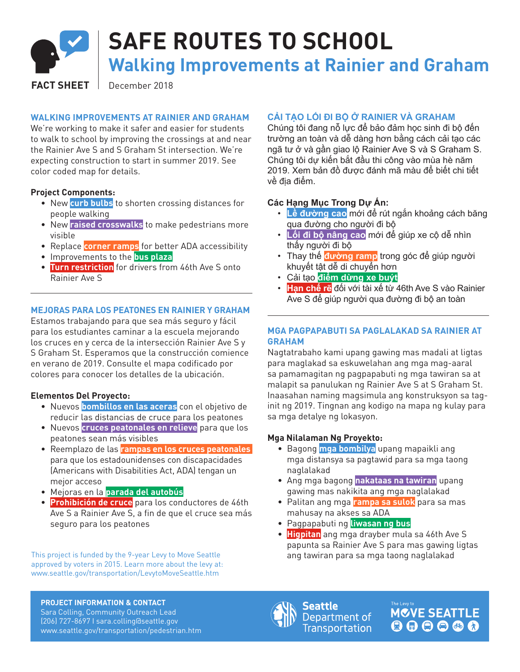

# **SAFE ROUTES TO SCHOOL**

**Walking Improvements at Rainier and Graham**

FACT SHEET | December 2018

# **WALKING IMPROVEMENTS AT RAINIER AND GRAHAM**

We're working to make it safer and easier for students to walk to school by improving the crossings at and near the Rainier Ave S and S Graham St intersection. We're expecting construction to start in summer 2019. See color coded map for details.

# **Project Components:**

- New **curb bulbs** to shorten crossing distances for people walking
- New **raised crosswalks** to make pedestrians more visible
- Replace **corner ramps** for better ADA accessibility
- Improvements to the **bus plaza**
- **Turn restriction** for drivers from 46th Ave S onto Rainier Ave S

# **MEJORAS PARA LOS PEATONES EN RAINIER Y GRAHAM**

Estamos trabajando para que sea más seguro y fácil para los estudiantes caminar a la escuela mejorando los cruces en y cerca de la intersección Rainier Ave S y S Graham St. Esperamos que la construcción comience en verano de 2019. Consulte el mapa codificado por colores para conocer los detalles de la ubicación.

### **Elementos Del Proyecto:**

- Nuevos **bombillos en las aceras** con el objetivo de reducir las distancias de cruce para los peatones
- Nuevos **cruces peatonales en relieve** para que los peatones sean más visibles
- Reemplazo de las **rampas en los cruces peatonales**  para que los estadounidenses con discapacidades (Americans with Disabilities Act, ADA) tengan un mejor acceso
- Mejoras en la **parada del autobús**
- **Prohibición de cruce** para los conductores de 46th Ave S a Rainier Ave S, a fin de que el cruce sea más seguro para los peatones

This project is funded by the 9-year Levy to Move Seattle approved by voters in 2015. Learn more about the levy at: www.seattle.gov/transportation/LevytoMoveSeattle.htm

# **CẢI TẠO LỐI ĐI BỘ Ở RAINIER VÀ GRAHAM**

Chúng tôi đang nỗ lực để bảo đảm học sinh đi bộ đến trường an toàn và dễ dàng hơn bằng cách cải tạo các ngã tư ở và gần giao lộ Rainier Ave S và S Graham S. Chúng tôi dự kiến bắt đầu thi công vào mùa hè năm 2019. Xem bản đồ được đánh mã màu để biết chi tiết về địa điểm.

# **Các Hạng Mục Trong Dự Án:**

- **Lề đường cao** mới để rút ngắn khoảng cách băng qua đường cho người đi bộ
- **Lối đi bộ nâng cao** mới để giúp xe cộ dễ nhìn thấy người đi bộ
- Thay thế **đường ramp** trong góc để giúp người khuyết tật dễ di chuyển hơn
- Cải tạo **điểm dừng xe buýt**
- **Hạn chế rẽ** đối với tài xế từ 46th Ave S vào Rainier Ave S để giúp người qua đường đi bộ an toàn

# **MGA PAGPAPABUTI SA PAGLALAKAD SA RAINIER AT GRAHAM**

Nagtatrabaho kami upang gawing mas madali at ligtas para maglakad sa eskuwelahan ang mga mag-aaral sa pamamagitan ng pagpapabuti ng mga tawiran sa at malapit sa panulukan ng Rainier Ave S at S Graham St. Inaasahan naming magsimula ang konstruksyon sa taginit ng 2019. Tingnan ang kodigo na mapa ng kulay para sa mga detalye ng lokasyon.

### **Mga Nilalaman Ng Proyekto:**

- Bagong **mga bombilya** upang mapaikli ang mga distansya sa pagtawid para sa mga taong naglalakad
- Ang mga bagong **nakataas na tawiran** upang gawing mas nakikita ang mga naglalakad
- Palitan ang mga **rampa sa sulok** para sa mas mahusay na akses sa ADA
- Pagpapabuti ng **liwasan ng bus**
- **Higpitan** ang mga drayber mula sa 46th Ave S papunta sa Rainier Ave S para mas gawing ligtas ang tawiran para sa mga taong naglalakad

**PROJECT INFORMATION & CONTACT**

Sara Colling, Community Outreach Lead (206) 727-8697 I sara.colling@seattle.gov www.seattle.gov/transportation/pedestrian.htm



Seattle Department of **Transportation**  **MOVE SEATTLE**